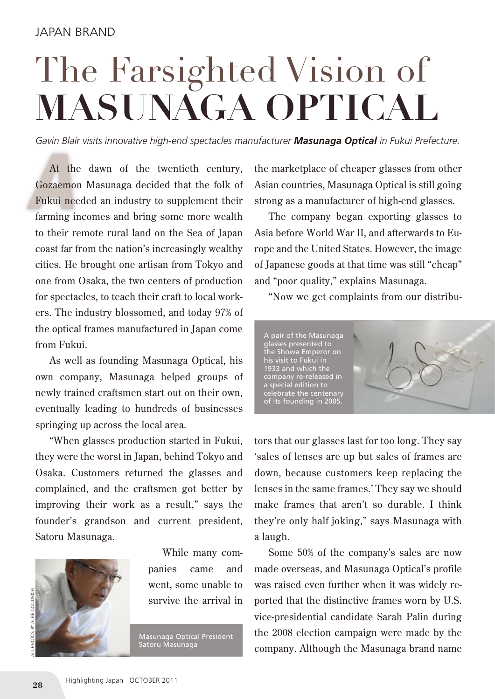## The Farsighted Vision of **Masunaga Optical**

*Gavin Blair visits innovative high-end spectacles manufacturer Masunaga Optical in Fukui Prefecture.*

At the dawn of the twentieth century,<br>Gozaemon Masunaga decided that the folk of<br>Fukui needed an industry to supplement their At the dawn of the twentieth century, Gozaemon Masunaga decided that the folk of farming incomes and bring some more wealth to their remote rural land on the Sea of Japan coast far from the nation's increasingly wealthy cities. He brought one artisan from Tokyo and one from Osaka, the two centers of production for spectacles, to teach their craft to local workers. The industry blossomed, and today 97% of the optical frames manufactured in Japan come from Fukui.

As well as founding Masunaga Optical, his own company, Masunaga helped groups of newly trained craftsmen start out on their own, eventually leading to hundreds of businesses springing up across the local area.

"When glasses production started in Fukui, they were the worst in Japan, behind Tokyo and Osaka. Customers returned the glasses and complained, and the craftsmen got better by improving their work as a result," says the founder's grandson and current president, Satoru Masunaga.



While many companies came and went, some unable to survive the arrival in

Masunaga Optical President Satoru Masunaga

the marketplace of cheaper glasses from other Asian countries, Masunaga Optical is still going strong as a manufacturer of high-end glasses.

The company began exporting glasses to Asia before World War II, and afterwards to Europe and the United States. However, the image of Japanese goods at that time was still "cheap" and "poor quality," explains Masunaga.

"Now we get complaints from our distribu-



tors that our glasses last for too long. They say 'sales of lenses are up but sales of frames are down, because customers keep replacing the lenses in the same frames.' They say we should make frames that aren't so durable. I think they're only half joking," says Masunaga with a laugh.

Some 50% of the company's sales are now made overseas, and Masunaga Optical's profile was raised even further when it was widely reported that the distinctive frames worn by U.S. vice-presidential candidate Sarah Palin during the 2008 election campaign were made by the company. Although the Masunaga brand name